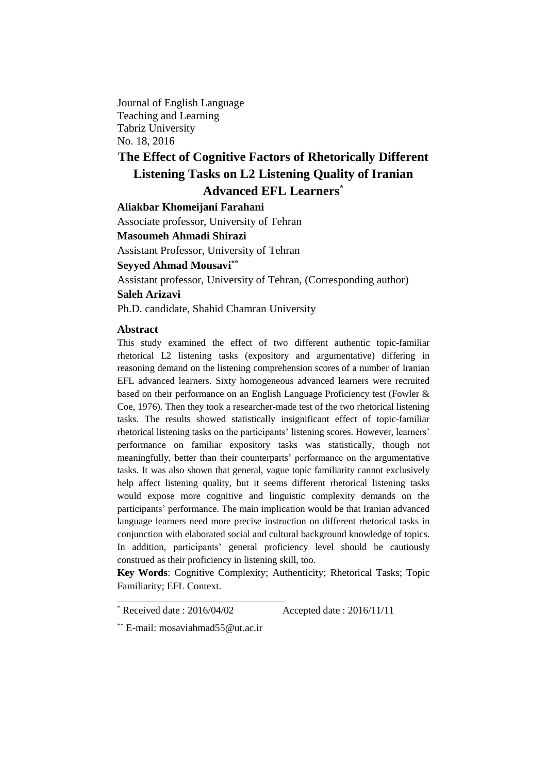Journal of English Language Teaching and Learning Tabriz University No. 18, 2016

# **The Effect of Cognitive Factors of Rhetorically Different Listening Tasks on L2 Listening Quality of Iranian Advanced EFL Learners\***

**Aliakbar Khomeijani Farahani**

Associate professor, University of Tehran

**Masoumeh Ahmadi Shirazi**

Assistant Professor, University of Tehran

# **Seyyed Ahmad Mousavi\*\***

Assistant professor, University of Tehran, (Corresponding author)

#### **Saleh Arizavi**

Ph.D. candidate, Shahid Chamran University

#### **Abstract**

This study examined the effect of two different authentic topic-familiar rhetorical L2 listening tasks (expository and argumentative) differing in reasoning demand on the listening comprehension scores of a number of Iranian EFL advanced learners. Sixty homogeneous advanced learners were recruited based on their performance on an English Language Proficiency test (Fowler & Coe, 1976). Then they took a researcher-made test of the two rhetorical listening tasks. The results showed statistically insignificant effect of topic-familiar rhetorical listening tasks on the participants' listening scores. However, learners' performance on familiar expository tasks was statistically, though not meaningfully, better than their counterparts' performance on the argumentative tasks. It was also shown that general, vague topic familiarity cannot exclusively help affect listening quality, but it seems different rhetorical listening tasks would expose more cognitive and linguistic complexity demands on the participants' performance. The main implication would be that Iranian advanced language learners need more precise instruction on different rhetorical tasks in conjunction with elaborated social and cultural background knowledge of topics. In addition, participants' general proficiency level should be cautiously construed as their proficiency in listening skill, too.

**Key Words**: Cognitive Complexity; Authenticity; Rhetorical Tasks; Topic Familiarity; EFL Context.

 $*$  Received date : 2016/04/02 Accepted date : 2016/11/11

<sup>\*\*</sup> E-mail: [mosaviahmad55@ut.ac.ir](mailto:mosaviahmad55@ut.ac.ir)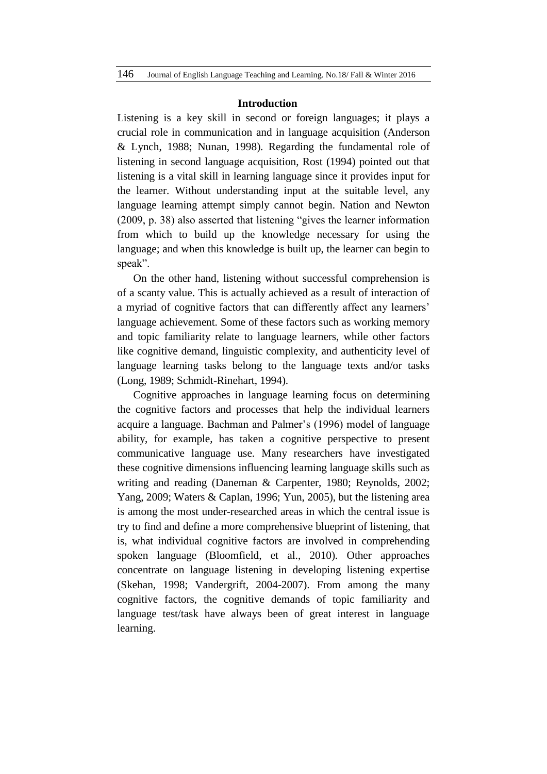#### **Introduction**

Listening is a key skill in second or foreign languages; it plays a crucial role in communication and in language acquisition (Anderson & Lynch, 1988; Nunan, 1998). Regarding the fundamental role of listening in second language acquisition, Rost (1994) pointed out that listening is a vital skill in learning language since it provides input for the learner. Without understanding input at the suitable level, any language learning attempt simply cannot begin. Nation and Newton (2009, p. 38) also asserted that listening "gives the learner information from which to build up the knowledge necessary for using the language; and when this knowledge is built up, the learner can begin to speak".

On the other hand, listening without successful comprehension is of a scanty value. This is actually achieved as a result of interaction of a myriad of cognitive factors that can differently affect any learners' language achievement. Some of these factors such as working memory and topic familiarity relate to language learners, while other factors like cognitive demand, linguistic complexity, and authenticity level of language learning tasks belong to the language texts and/or tasks (Long, 1989; Schmidt-Rinehart, 1994).

Cognitive approaches in language learning focus on determining the cognitive factors and processes that help the individual learners acquire a language. Bachman and Palmer's (1996) model of language ability, for example, has taken a cognitive perspective to present communicative language use. Many researchers have investigated these cognitive dimensions influencing learning language skills such as writing and reading (Daneman & Carpenter, 1980; Reynolds, 2002; Yang, 2009; Waters & Caplan, 1996; Yun, 2005), but the listening area is among the most under-researched areas in which the central issue is try to find and define a more comprehensive blueprint of listening, that is, what individual cognitive factors are involved in comprehending spoken language (Bloomfield, et al., 2010). Other approaches concentrate on language listening in developing listening expertise (Skehan, 1998; Vandergrift, 2004-2007). From among the many cognitive factors, the cognitive demands of topic familiarity and language test/task have always been of great interest in language learning.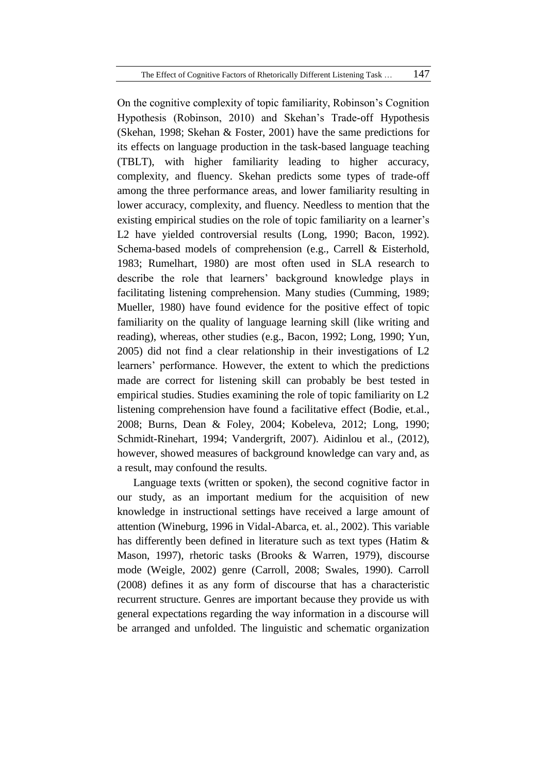On the cognitive complexity of topic familiarity, Robinson's Cognition Hypothesis (Robinson, 2010) and Skehan's Trade-off Hypothesis (Skehan, 1998; Skehan & Foster, 2001) have the same predictions for its effects on language production in the task-based language teaching (TBLT), with higher familiarity leading to higher accuracy, complexity, and fluency. Skehan predicts some types of trade-off among the three performance areas, and lower familiarity resulting in lower accuracy, complexity, and fluency. Needless to mention that the existing empirical studies on the role of topic familiarity on a learner's L2 have yielded controversial results (Long, 1990; Bacon, 1992). Schema-based models of comprehension (e.g., Carrell & Eisterhold, 1983; Rumelhart, 1980) are most often used in SLA research to describe the role that learners' background knowledge plays in facilitating listening comprehension. Many studies (Cumming, 1989; Mueller, 1980) have found evidence for the positive effect of topic familiarity on the quality of language learning skill (like writing and reading), whereas, other studies (e.g., Bacon, 1992; Long, 1990; Yun, 2005) did not find a clear relationship in their investigations of L2 learners' performance. However, the extent to which the predictions made are correct for listening skill can probably be best tested in empirical studies. Studies examining the role of topic familiarity on L2 listening comprehension have found a facilitative effect (Bodie, et.al., 2008; Burns, Dean & Foley, 2004; Kobeleva, 2012; Long, 1990; Schmidt-Rinehart, 1994; Vandergrift, 2007). Aidinlou et al., (2012), however, showed measures of background knowledge can vary and, as a result, may confound the results.

Language texts (written or spoken), the second cognitive factor in our study, as an important medium for the acquisition of new knowledge in instructional settings have received a large amount of attention (Wineburg, 1996 in Vidal-Abarca, et. al., 2002). This variable has differently been defined in literature such as text types (Hatim & Mason, 1997), rhetoric tasks (Brooks & Warren, 1979), discourse mode (Weigle, 2002) genre (Carroll, 2008; Swales, 1990). Carroll (2008) defines it as any form of discourse that has a characteristic recurrent structure. Genres are important because they provide us with general expectations regarding the way information in a discourse will be arranged and unfolded. The linguistic and schematic organization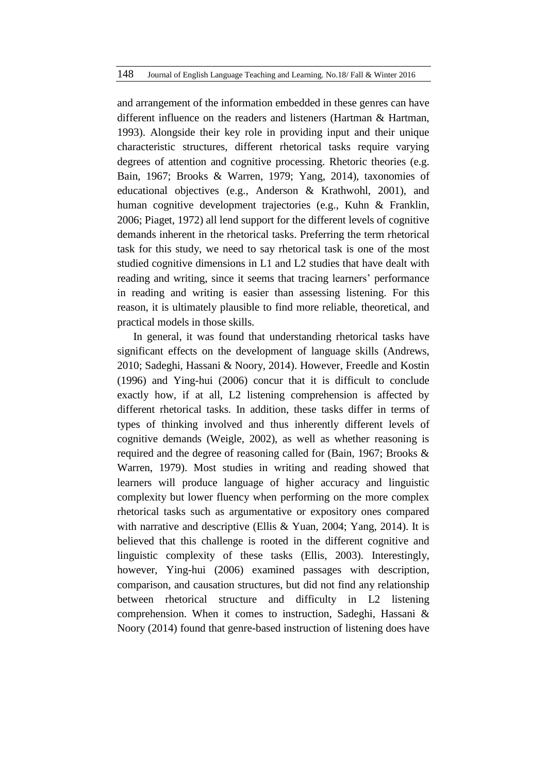and arrangement of the information embedded in these genres can have different influence on the readers and listeners (Hartman & Hartman, 1993). Alongside their key role in providing input and their unique characteristic structures, different rhetorical tasks require varying degrees of attention and cognitive processing. Rhetoric theories (e.g. Bain, 1967; Brooks & Warren, 1979; Yang, 2014), taxonomies of educational objectives (e.g., Anderson & Krathwohl, 2001), and human cognitive development trajectories (e.g., Kuhn & Franklin, 2006; Piaget, 1972) all lend support for the different levels of cognitive demands inherent in the rhetorical tasks. Preferring the term rhetorical task for this study, we need to say rhetorical task is one of the most studied cognitive dimensions in L1 and L2 studies that have dealt with reading and writing, since it seems that tracing learners' performance in reading and writing is easier than assessing listening. For this reason, it is ultimately plausible to find more reliable, theoretical, and practical models in those skills.

In general, it was found that understanding rhetorical tasks have significant effects on the development of language skills (Andrews, 2010; Sadeghi, Hassani & Noory, 2014). However, Freedle and Kostin (1996) and Ying-hui (2006) concur that it is difficult to conclude exactly how, if at all, L2 listening comprehension is affected by different rhetorical tasks. In addition, these tasks differ in terms of types of thinking involved and thus inherently different levels of cognitive demands (Weigle, 2002), as well as whether reasoning is required and the degree of reasoning called for (Bain, 1967; Brooks & Warren, 1979). Most studies in writing and reading showed that learners will produce language of higher accuracy and linguistic complexity but lower fluency when performing on the more complex rhetorical tasks such as argumentative or expository ones compared with narrative and descriptive (Ellis & Yuan, 2004; Yang, 2014). It is believed that this challenge is rooted in the different cognitive and linguistic complexity of these tasks (Ellis, 2003). Interestingly, however, Ying-hui (2006) examined passages with description, comparison, and causation structures, but did not find any relationship between rhetorical structure and difficulty in L2 listening comprehension. When it comes to instruction, Sadeghi, Hassani & Noory (2014) found that genre-based instruction of listening does have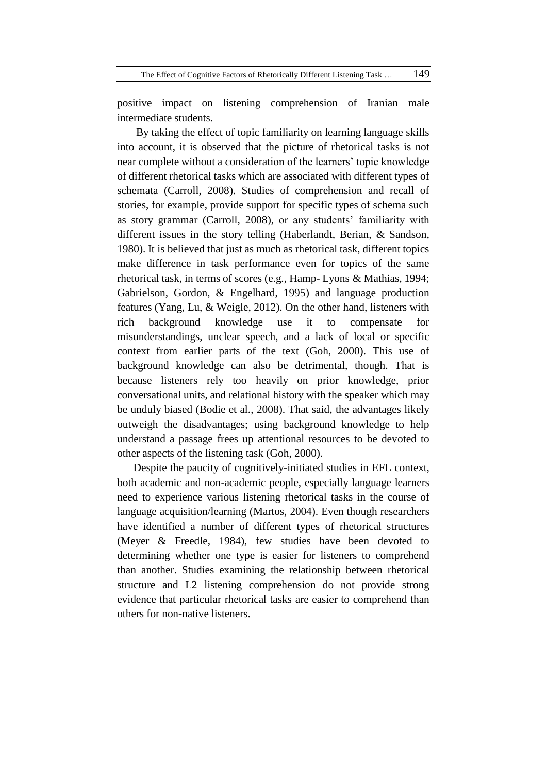positive impact on listening comprehension of Iranian male intermediate students.

By taking the effect of topic familiarity on learning language skills into account, it is observed that the picture of rhetorical tasks is not near complete without a consideration of the learners' topic knowledge of different rhetorical tasks which are associated with different types of schemata (Carroll, 2008). Studies of comprehension and recall of stories, for example, provide support for specific types of schema such as story grammar (Carroll, 2008), or any students' familiarity with different issues in the story telling (Haberlandt, Berian, & Sandson, 1980). It is believed that just as much as rhetorical task, different topics make difference in task performance even for topics of the same rhetorical task, in terms of scores (e.g., Hamp- Lyons & Mathias, 1994; Gabrielson, Gordon, & Engelhard, 1995) and language production features (Yang, Lu, & Weigle, 2012). On the other hand, listeners with rich background knowledge use it to compensate for misunderstandings, unclear speech, and a lack of local or specific context from earlier parts of the text (Goh, 2000). This use of background knowledge can also be detrimental, though. That is because listeners rely too heavily on prior knowledge, prior conversational units, and relational history with the speaker which may be unduly biased (Bodie et al., 2008). That said, the advantages likely outweigh the disadvantages; using background knowledge to help understand a passage frees up attentional resources to be devoted to other aspects of the listening task (Goh, 2000).

Despite the paucity of cognitively-initiated studies in EFL context, both academic and non-academic people, especially language learners need to experience various listening rhetorical tasks in the course of language acquisition/learning (Martos, 2004). Even though researchers have identified a number of different types of rhetorical structures (Meyer & Freedle, 1984), few studies have been devoted to determining whether one type is easier for listeners to comprehend than another. Studies examining the relationship between rhetorical structure and L2 listening comprehension do not provide strong evidence that particular rhetorical tasks are easier to comprehend than others for non-native listeners.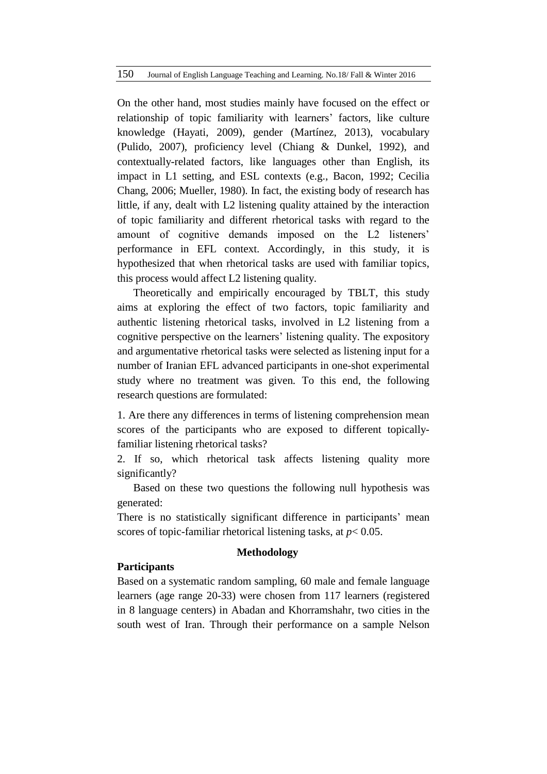On the other hand, most studies mainly have focused on the effect or relationship of topic familiarity with learners' factors, like culture knowledge (Hayati, 2009), gender (Martínez, 2013), vocabulary (Pulido, 2007), proficiency level (Chiang & Dunkel, 1992), and contextually-related factors, like languages other than English, its impact in L1 setting, and ESL contexts (e.g., Bacon, 1992; Cecilia Chang, 2006; Mueller, 1980). In fact, the existing body of research has little, if any, dealt with L2 listening quality attained by the interaction of topic familiarity and different rhetorical tasks with regard to the amount of cognitive demands imposed on the L2 listeners' performance in EFL context. Accordingly, in this study, it is hypothesized that when rhetorical tasks are used with familiar topics, this process would affect L2 listening quality.

Theoretically and empirically encouraged by TBLT, this study aims at exploring the effect of two factors, topic familiarity and authentic listening rhetorical tasks, involved in L2 listening from a cognitive perspective on the learners' listening quality. The expository and argumentative rhetorical tasks were selected as listening input for a number of Iranian EFL advanced participants in one-shot experimental study where no treatment was given. To this end, the following research questions are formulated:

1. Are there any differences in terms of listening comprehension mean scores of the participants who are exposed to different topicallyfamiliar listening rhetorical tasks?

2. If so, which rhetorical task affects listening quality more significantly?

Based on these two questions the following null hypothesis was generated:

There is no statistically significant difference in participants' mean scores of topic-familiar rhetorical listening tasks, at *p*< 0.05.

# **Methodology**

# **Participants**

Based on a systematic random sampling, 60 male and female language learners (age range 20-33) were chosen from 117 learners (registered in 8 language centers) in Abadan and Khorramshahr, two cities in the south west of Iran. Through their performance on a sample Nelson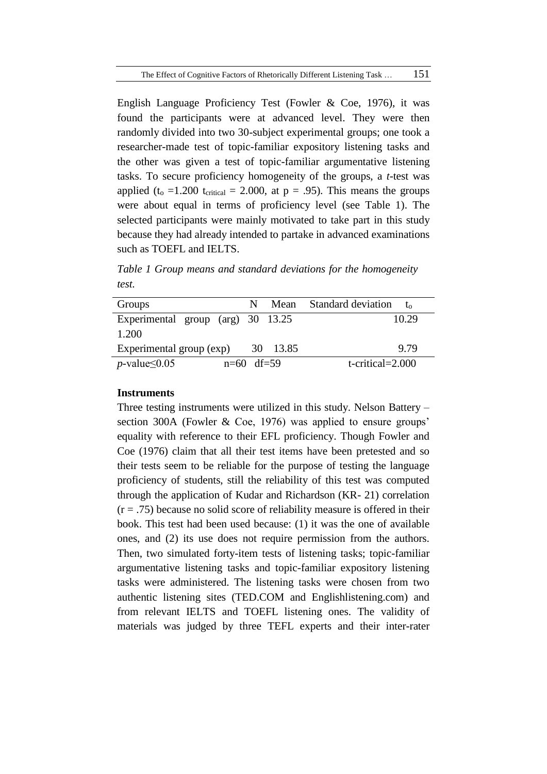English Language Proficiency Test (Fowler & Coe, 1976), it was found the participants were at advanced level. They were then randomly divided into two 30-subject experimental groups; one took a researcher-made test of topic-familiar expository listening tasks and the other was given a test of topic-familiar argumentative listening tasks. To secure proficiency homogeneity of the groups, a *t*-test was applied (t<sub>o</sub> =1.200 t<sub>critical</sub> = 2.000, at  $p = .95$ ). This means the groups were about equal in terms of proficiency level (see Table 1). The selected participants were mainly motivated to take part in this study because they had already intended to partake in advanced examinations such as TOEFL and IELTS.

*Table 1 Group means and standard deviations for the homogeneity test.*

| Groups                                      | N Mean   | <b>Standard deviation</b> |
|---------------------------------------------|----------|---------------------------|
| Experimental group (arg) 30 13.25           |          | 10.29                     |
| 1.200                                       |          |                           |
| Experimental group (exp)                    | 30 13.85 | 9.79                      |
| <i>p</i> -value $\leq$ 0.05<br>$n=60$ df=59 |          | $t$ -critical=2.000       |

# **Instruments**

Three testing instruments were utilized in this study. Nelson Battery – section 300A (Fowler & Coe, 1976) was applied to ensure groups' equality with reference to their EFL proficiency. Though Fowler and Coe (1976) claim that all their test items have been pretested and so their tests seem to be reliable for the purpose of testing the language proficiency of students, still the reliability of this test was computed through the application of Kudar and Richardson (KR- 21) correlation  $(r = .75)$  because no solid score of reliability measure is offered in their book. This test had been used because: (1) it was the one of available ones, and (2) its use does not require permission from the authors. Then, two simulated forty-item tests of listening tasks; topic-familiar argumentative listening tasks and topic-familiar expository listening tasks were administered. The listening tasks were chosen from two authentic listening sites (TED.COM and Englishlistening.com) and from relevant IELTS and TOEFL listening ones. The validity of materials was judged by three TEFL experts and their inter-rater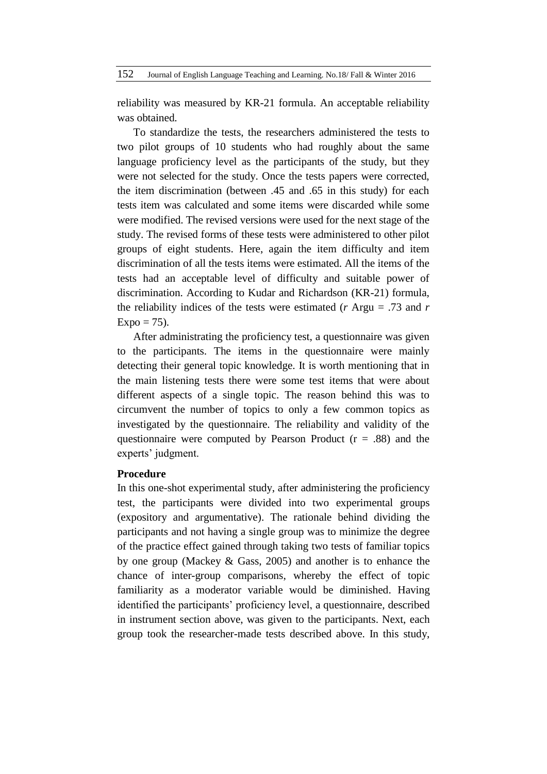reliability was measured by KR-21 formula. An acceptable reliability was obtained.

To standardize the tests, the researchers administered the tests to two pilot groups of 10 students who had roughly about the same language proficiency level as the participants of the study, but they were not selected for the study. Once the tests papers were corrected, the item discrimination (between .45 and .65 in this study) for each tests item was calculated and some items were discarded while some were modified. The revised versions were used for the next stage of the study. The revised forms of these tests were administered to other pilot groups of eight students. Here, again the item difficulty and item discrimination of all the tests items were estimated. All the items of the tests had an acceptable level of difficulty and suitable power of discrimination. According to Kudar and Richardson (KR-21) formula, the reliability indices of the tests were estimated (*r* Argu = .73 and *r*  $Expo = 75$ .

After administrating the proficiency test, a questionnaire was given to the participants. The items in the questionnaire were mainly detecting their general topic knowledge. It is worth mentioning that in the main listening tests there were some test items that were about different aspects of a single topic. The reason behind this was to circumvent the number of topics to only a few common topics as investigated by the questionnaire. The reliability and validity of the questionnaire were computed by Pearson Product  $(r = .88)$  and the experts' judgment.

# **Procedure**

In this one-shot experimental study, after administering the proficiency test, the participants were divided into two experimental groups (expository and argumentative). The rationale behind dividing the participants and not having a single group was to minimize the degree of the practice effect gained through taking two tests of familiar topics by one group (Mackey & Gass, 2005) and another is to enhance the chance of inter-group comparisons, whereby the effect of topic familiarity as a moderator variable would be diminished. Having identified the participants' proficiency level, a questionnaire, described in instrument section above, was given to the participants. Next, each group took the researcher-made tests described above. In this study,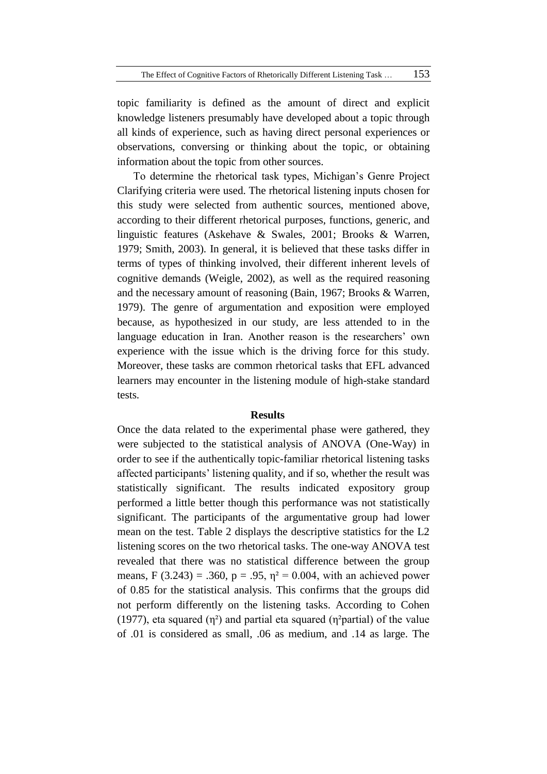topic familiarity is defined as the amount of direct and explicit knowledge listeners presumably have developed about a topic through all kinds of experience, such as having direct personal experiences or observations, conversing or thinking about the topic, or obtaining information about the topic from other sources.

To determine the rhetorical task types, Michigan's Genre Project Clarifying criteria were used. The rhetorical listening inputs chosen for this study were selected from authentic sources, mentioned above, according to their different rhetorical purposes, functions, generic, and linguistic features (Askehave & Swales, 2001; Brooks & Warren, 1979; Smith, 2003). In general, it is believed that these tasks differ in terms of types of thinking involved, their different inherent levels of cognitive demands (Weigle, 2002), as well as the required reasoning and the necessary amount of reasoning (Bain, 1967; Brooks & Warren, 1979). The genre of argumentation and exposition were employed because, as hypothesized in our study, are less attended to in the language education in Iran. Another reason is the researchers' own experience with the issue which is the driving force for this study. Moreover, these tasks are common rhetorical tasks that EFL advanced learners may encounter in the listening module of high-stake standard tests.

#### **Results**

Once the data related to the experimental phase were gathered, they were subjected to the statistical analysis of ANOVA (One-Way) in order to see if the authentically topic-familiar rhetorical listening tasks affected participants' listening quality, and if so, whether the result was statistically significant. The results indicated expository group performed a little better though this performance was not statistically significant. The participants of the argumentative group had lower mean on the test. Table 2 displays the descriptive statistics for the L2 listening scores on the two rhetorical tasks. The one-way ANOVA test revealed that there was no statistical difference between the group means, F (3.243) = .360, p = .95,  $\eta^2$  = 0.004, with an achieved power of 0.85 for the statistical analysis. This confirms that the groups did not perform differently on the listening tasks. According to Cohen (1977), eta squared  $(\eta^2)$  and partial eta squared ( $\eta^2$ partial) of the value of .01 is considered as small, .06 as medium, and .14 as large. The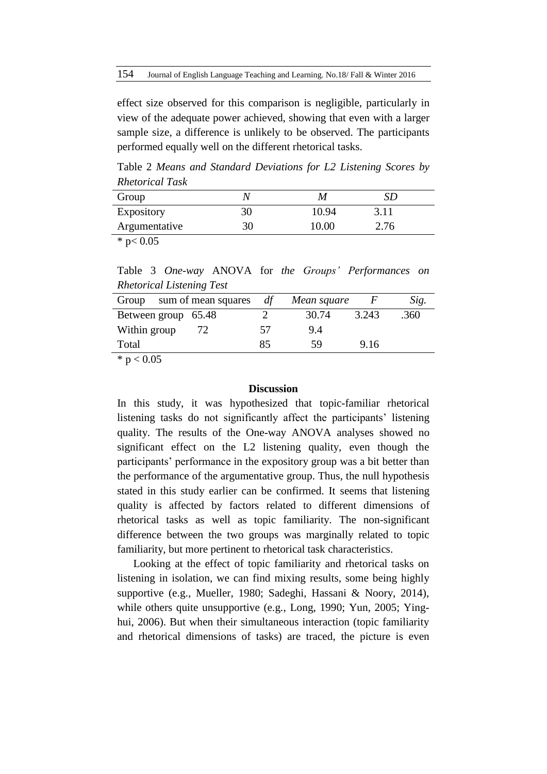effect size observed for this comparison is negligible, particularly in view of the adequate power achieved, showing that even with a larger sample size, a difference is unlikely to be observed. The participants performed equally well on the different rhetorical tasks.

Table 2 *Means and Standard Deviations for L2 Listening Scores by Rhetorical Task*

| Group                     |    |       |      |  |
|---------------------------|----|-------|------|--|
| Expository                |    | 10.94 | 3.11 |  |
| Argumentative             | 30 | 10.00 | 2.76 |  |
| $\mathbf{a}$ $\mathbf{a}$ |    |       |      |  |

 $*$  p< 0.05

Table 3 *One-way* ANOVA for *the Groups' Performances on Rhetorical Listening Test*

| sum of mean squares<br>Group                                | df | Mean square |       | Sig. |
|-------------------------------------------------------------|----|-------------|-------|------|
| Between group 65.48                                         |    | 30.74       | 3.243 | .360 |
| Within group                                                | 57 | 9.4         |       |      |
| Total                                                       | 85 | 59          | 9.16  |      |
| $\sim$ $\sim$ $\sim$<br>and the contract of the contract of |    |             |       |      |

 $*$  p  $< 0.05$ 

#### **Discussion**

In this study, it was hypothesized that topic-familiar rhetorical listening tasks do not significantly affect the participants' listening quality. The results of the One-way ANOVA analyses showed no significant effect on the L2 listening quality, even though the participants' performance in the expository group was a bit better than the performance of the argumentative group. Thus, the null hypothesis stated in this study earlier can be confirmed. It seems that listening quality is affected by factors related to different dimensions of rhetorical tasks as well as topic familiarity. The non-significant difference between the two groups was marginally related to topic familiarity, but more pertinent to rhetorical task characteristics.

Looking at the effect of topic familiarity and rhetorical tasks on listening in isolation, we can find mixing results, some being highly supportive (e.g., Mueller, 1980; Sadeghi, Hassani & Noory, 2014), while others quite unsupportive (e.g., Long, 1990; Yun, 2005; Yinghui, 2006). But when their simultaneous interaction (topic familiarity and rhetorical dimensions of tasks) are traced, the picture is even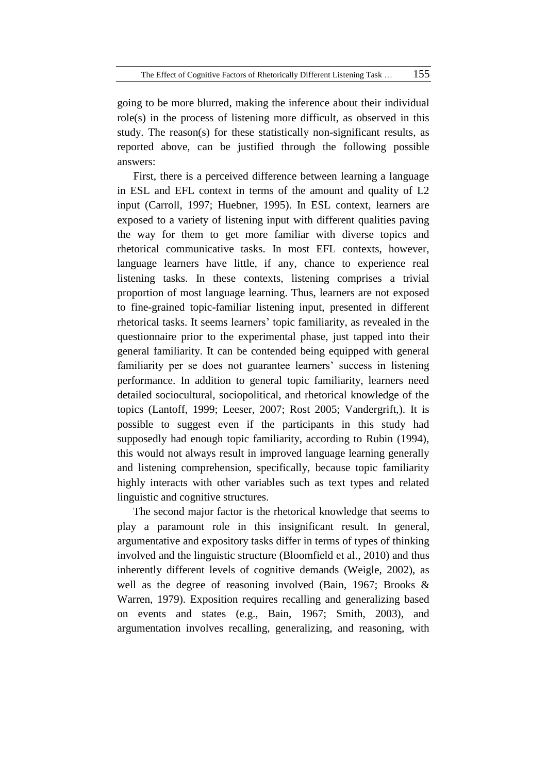going to be more blurred, making the inference about their individual role(s) in the process of listening more difficult, as observed in this study. The reason(s) for these statistically non-significant results, as reported above, can be justified through the following possible answers:

First, there is a perceived difference between learning a language in ESL and EFL context in terms of the amount and quality of L2 input (Carroll, 1997; Huebner, 1995). In ESL context, learners are exposed to a variety of listening input with different qualities paving the way for them to get more familiar with diverse topics and rhetorical communicative tasks. In most EFL contexts, however, language learners have little, if any, chance to experience real listening tasks. In these contexts, listening comprises a trivial proportion of most language learning. Thus, learners are not exposed to fine-grained topic-familiar listening input, presented in different rhetorical tasks. It seems learners' topic familiarity, as revealed in the questionnaire prior to the experimental phase, just tapped into their general familiarity. It can be contended being equipped with general familiarity per se does not guarantee learners' success in listening performance. In addition to general topic familiarity, learners need detailed sociocultural, sociopolitical, and rhetorical knowledge of the topics (Lantoff, 1999; Leeser, 2007; Rost 2005; Vandergrift,). It is possible to suggest even if the participants in this study had supposedly had enough topic familiarity, according to Rubin (1994), this would not always result in improved language learning generally and listening comprehension, specifically, because topic familiarity highly interacts with other variables such as text types and related linguistic and cognitive structures.

The second major factor is the rhetorical knowledge that seems to play a paramount role in this insignificant result. In general, argumentative and expository tasks differ in terms of types of thinking involved and the linguistic structure (Bloomfield et al., 2010) and thus inherently different levels of cognitive demands (Weigle, 2002), as well as the degree of reasoning involved (Bain, 1967; Brooks & Warren, 1979). Exposition requires recalling and generalizing based on events and states (e.g., Bain, 1967; Smith, 2003), and argumentation involves recalling, generalizing, and reasoning, with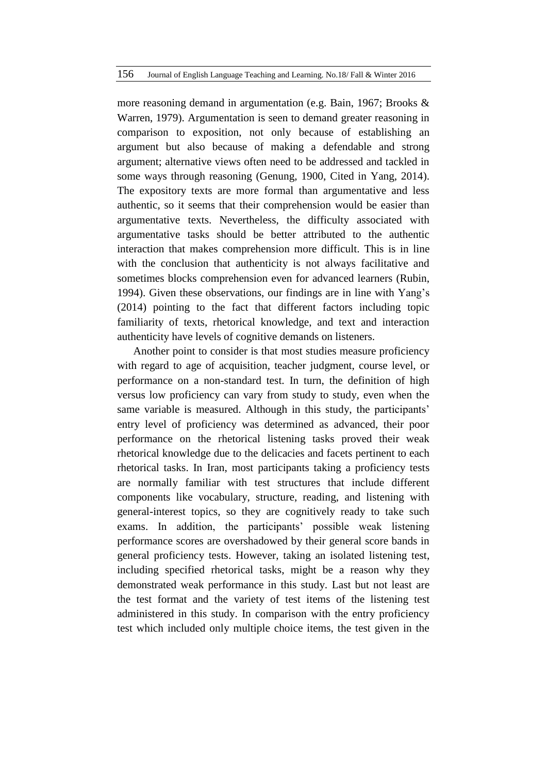more reasoning demand in argumentation (e.g. Bain, 1967; Brooks & Warren, 1979). Argumentation is seen to demand greater reasoning in comparison to exposition, not only because of establishing an argument but also because of making a defendable and strong argument; alternative views often need to be addressed and tackled in some ways through reasoning (Genung, 1900, Cited in Yang, 2014). The expository texts are more formal than argumentative and less authentic, so it seems that their comprehension would be easier than argumentative texts. Nevertheless, the difficulty associated with argumentative tasks should be better attributed to the authentic interaction that makes comprehension more difficult. This is in line with the conclusion that authenticity is not always facilitative and sometimes blocks comprehension even for advanced learners (Rubin, 1994). Given these observations, our findings are in line with Yang's (2014) pointing to the fact that different factors including topic familiarity of texts, rhetorical knowledge, and text and interaction authenticity have levels of cognitive demands on listeners.

Another point to consider is that most studies measure proficiency with regard to age of acquisition, teacher judgment, course level, or performance on a non-standard test. In turn, the definition of high versus low proficiency can vary from study to study, even when the same variable is measured. Although in this study, the participants' entry level of proficiency was determined as advanced, their poor performance on the rhetorical listening tasks proved their weak rhetorical knowledge due to the delicacies and facets pertinent to each rhetorical tasks. In Iran, most participants taking a proficiency tests are normally familiar with test structures that include different components like vocabulary, structure, reading, and listening with general-interest topics, so they are cognitively ready to take such exams. In addition, the participants' possible weak listening performance scores are overshadowed by their general score bands in general proficiency tests. However, taking an isolated listening test, including specified rhetorical tasks, might be a reason why they demonstrated weak performance in this study. Last but not least are the test format and the variety of test items of the listening test administered in this study. In comparison with the entry proficiency test which included only multiple choice items, the test given in the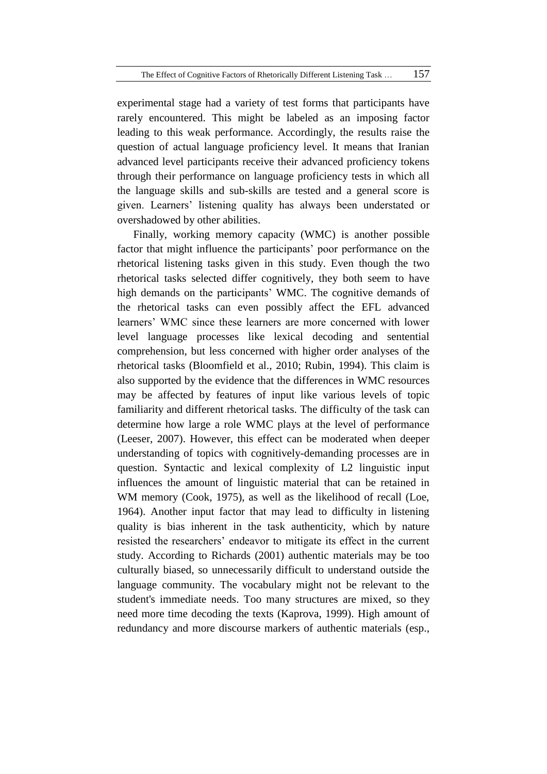experimental stage had a variety of test forms that participants have rarely encountered. This might be labeled as an imposing factor leading to this weak performance. Accordingly, the results raise the question of actual language proficiency level. It means that Iranian advanced level participants receive their advanced proficiency tokens through their performance on language proficiency tests in which all the language skills and sub-skills are tested and a general score is given. Learners' listening quality has always been understated or overshadowed by other abilities.

Finally, working memory capacity (WMC) is another possible factor that might influence the participants' poor performance on the rhetorical listening tasks given in this study. Even though the two rhetorical tasks selected differ cognitively, they both seem to have high demands on the participants' WMC. The cognitive demands of the rhetorical tasks can even possibly affect the EFL advanced learners' WMC since these learners are more concerned with lower level language processes like lexical decoding and sentential comprehension, but less concerned with higher order analyses of the rhetorical tasks (Bloomfield et al., 2010; Rubin, 1994). This claim is also supported by the evidence that the differences in WMC resources may be affected by features of input like various levels of topic familiarity and different rhetorical tasks. The difficulty of the task can determine how large a role WMC plays at the level of performance (Leeser, 2007). However, this effect can be moderated when deeper understanding of topics with cognitively-demanding processes are in question. Syntactic and lexical complexity of L2 linguistic input influences the amount of linguistic material that can be retained in WM memory (Cook, 1975), as well as the likelihood of recall (Loe, 1964). Another input factor that may lead to difficulty in listening quality is bias inherent in the task authenticity, which by nature resisted the researchers' endeavor to mitigate its effect in the current study. According to Richards (2001) authentic materials may be too culturally biased, so unnecessarily difficult to understand outside the language community. The vocabulary might not be relevant to the student's immediate needs. Too many structures are mixed, so they need more time decoding the texts (Kaprova, 1999). High amount of redundancy and more discourse markers of authentic materials (esp.,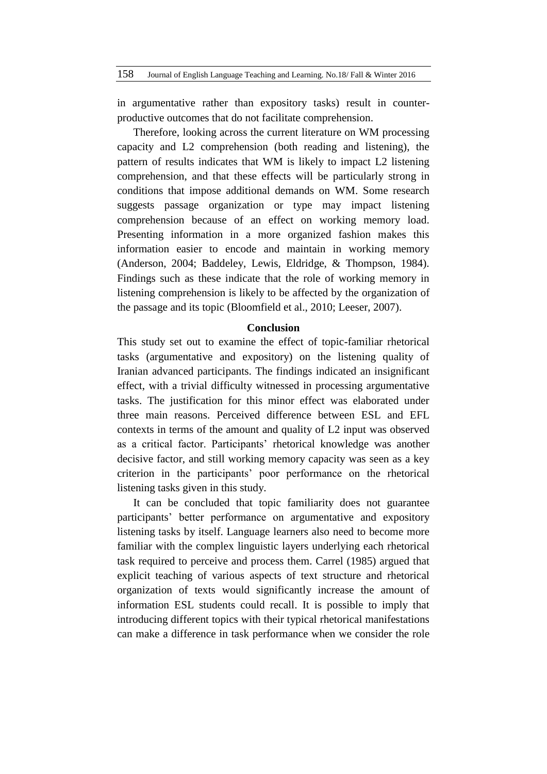in argumentative rather than expository tasks) result in counterproductive outcomes that do not facilitate comprehension.

Therefore, looking across the current literature on WM processing capacity and L2 comprehension (both reading and listening), the pattern of results indicates that WM is likely to impact L2 listening comprehension, and that these effects will be particularly strong in conditions that impose additional demands on WM. Some research suggests passage organization or type may impact listening comprehension because of an effect on working memory load. Presenting information in a more organized fashion makes this information easier to encode and maintain in working memory (Anderson, 2004; Baddeley, Lewis, Eldridge, & Thompson, 1984). Findings such as these indicate that the role of working memory in listening comprehension is likely to be affected by the organization of the passage and its topic (Bloomfield et al., 2010; Leeser, 2007).

# **Conclusion**

This study set out to examine the effect of topic-familiar rhetorical tasks (argumentative and expository) on the listening quality of Iranian advanced participants. The findings indicated an insignificant effect, with a trivial difficulty witnessed in processing argumentative tasks. The justification for this minor effect was elaborated under three main reasons. Perceived difference between ESL and EFL contexts in terms of the amount and quality of L2 input was observed as a critical factor. Participants' rhetorical knowledge was another decisive factor, and still working memory capacity was seen as a key criterion in the participants' poor performance on the rhetorical listening tasks given in this study.

It can be concluded that topic familiarity does not guarantee participants' better performance on argumentative and expository listening tasks by itself. Language learners also need to become more familiar with the complex linguistic layers underlying each rhetorical task required to perceive and process them. Carrel (1985) argued that explicit teaching of various aspects of text structure and rhetorical organization of texts would significantly increase the amount of information ESL students could recall. It is possible to imply that introducing different topics with their typical rhetorical manifestations can make a difference in task performance when we consider the role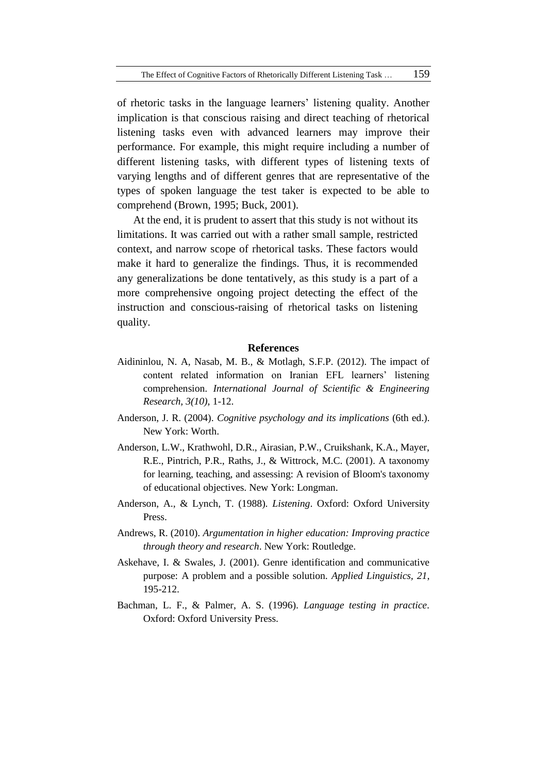of rhetoric tasks in the language learners' listening quality. Another implication is that conscious raising and direct teaching of rhetorical listening tasks even with advanced learners may improve their performance. For example, this might require including a number of different listening tasks, with different types of listening texts of varying lengths and of different genres that are representative of the types of spoken language the test taker is expected to be able to comprehend (Brown, 1995; Buck, 2001).

At the end, it is prudent to assert that this study is not without its limitations. It was carried out with a rather small sample, restricted context, and narrow scope of rhetorical tasks. These factors would make it hard to generalize the findings. Thus, it is recommended any generalizations be done tentatively, as this study is a part of a more comprehensive ongoing project detecting the effect of the instruction and conscious-raising of rhetorical tasks on listening quality.

#### **References**

- Aidininlou, N. A, Nasab, M. B., & Motlagh, S.F.P. (2012). The impact of content related information on Iranian EFL learners' listening comprehension. *International Journal of Scientific & Engineering Research, 3(10),* 1-12.
- Anderson, J. R. (2004). *Cognitive psychology and its implications* (6th ed.). New York: Worth.
- Anderson, L.W., Krathwohl, D.R., Airasian, P.W., Cruikshank, K.A., Mayer, R.E., Pintrich, P.R., Raths, J., & Wittrock, M.C. (2001). A taxonomy for learning, teaching, and assessing: A revision of Bloom's taxonomy of educational objectives. New York: Longman.
- Anderson, A., & Lynch, T. (1988). *Listening*. Oxford: Oxford University Press.
- Andrews, R. (2010). *Argumentation in higher education: Improving practice through theory and research*. New York: Routledge.
- Askehave, I. & Swales, J. (2001). Genre identification and communicative purpose: A problem and a possible solution. *Applied Linguistics, 21*, 195-212.
- Bachman, L. F., & Palmer, A. S. (1996). *Language testing in practice*. Oxford: Oxford University Press.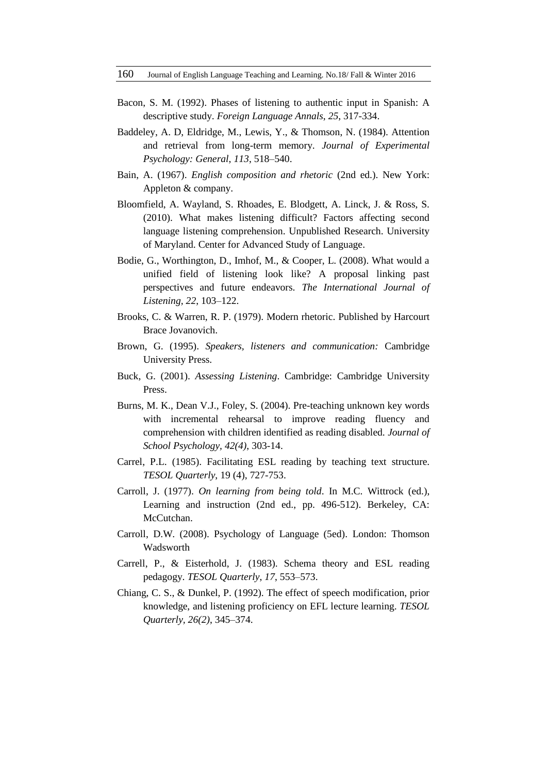- Bacon, S. M. (1992). Phases of listening to authentic input in Spanish: A descriptive study. *Foreign Language Annals*, *25*, 317-334.
- Baddeley, A. D, Eldridge, M., Lewis, Y., & Thomson, N. (1984). Attention and retrieval from long-term memory. *Journal of Experimental Psychology: General*, *113*, 518–540.
- Bain, A. (1967). *English composition and rhetoric* (2nd ed.). New York: Appleton & company.
- Bloomfield, A. Wayland, S. Rhoades, E. Blodgett, A. Linck, J. & Ross, S. (2010). What makes listening difficult? Factors affecting second language listening comprehension. Unpublished Research. University of Maryland. Center for Advanced Study of Language.
- Bodie, G., Worthington, D., Imhof, M., & Cooper, L. (2008). What would a unified field of listening look like? A proposal linking past perspectives and future endeavors. *The International Journal of Listening, 22*, 103–122.
- Brooks, C. & Warren, R. P. (1979). Modern rhetoric. Published by Harcourt Brace Jovanovich.
- Brown, G. (1995). *Speakers, listeners and communication:* Cambridge University Press.
- Buck, G. (2001). *Assessing Listening*. Cambridge: Cambridge University Press.
- Burns, M. K., Dean V.J., Foley, S. (2004). Pre-teaching unknown key words with incremental rehearsal to improve reading fluency and comprehension with children identified as reading disabled. *Journal of School Psychology, 42(4)*, 303-14.
- Carrel, P.L. (1985). Facilitating ESL reading by teaching text structure. *TESOL Quarterly*, 19 (4), 727-753.
- Carroll, J. (1977). *On learning from being told*. In M.C. Wittrock (ed.), Learning and instruction (2nd ed., pp. 496-512). Berkeley, CA: McCutchan.
- Carroll, D.W. (2008). Psychology of Language (5ed). London: Thomson Wadsworth
- Carrell, P., & Eisterhold, J. (1983). Schema theory and ESL reading pedagogy. *TESOL Quarterly*, *17*, 553–573.
- Chiang, C. S., & Dunkel, P. (1992). The effect of speech modification, prior knowledge, and listening proficiency on EFL lecture learning. *TESOL Quarterly, 26(2)*, 345–374.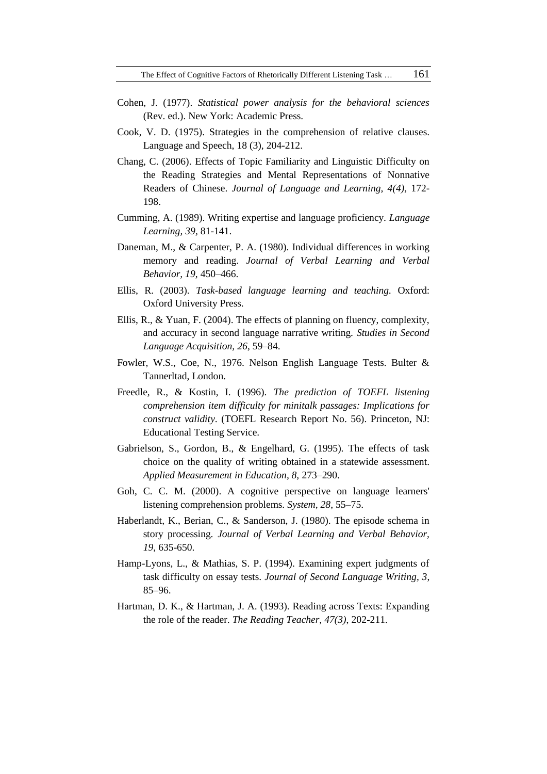- Cohen, J. (1977). *Statistical power analysis for the behavioral sciences*  (Rev. ed.). New York: Academic Press.
- Cook, V. D. (1975). Strategies in the comprehension of relative clauses. Language and Speech, 18 (3), 204-212.
- Chang, C. (2006). Effects of Topic Familiarity and Linguistic Difficulty on the Reading Strategies and Mental Representations of Nonnative Readers of Chinese. *Journal of Language and Learning, 4(4),* 172- 198.
- Cumming, A. (1989). Writing expertise and language proficiency. *Language Learning, 39,* 81-141.
- Daneman, M., & Carpenter, P. A. (1980). Individual differences in working memory and reading. *Journal of Verbal Learning and Verbal Behavior, 19*, 450–466.
- Ellis, R. (2003). *Task-based language learning and teaching.* Oxford: Oxford University Press.
- Ellis, R., & Yuan, F. (2004). The effects of planning on fluency, complexity, and accuracy in second language narrative writing. *Studies in Second Language Acquisition, 26*, 59–84.
- Fowler, W.S., Coe, N., 1976. Nelson English Language Tests. Bulter & Tannerltad, London.
- Freedle, R., & Kostin, I. (1996). *The prediction of TOEFL listening comprehension item difficulty for minitalk passages: Implications for construct validity*. (TOEFL Research Report No. 56). Princeton, NJ: Educational Testing Service.
- Gabrielson, S., Gordon, B., & Engelhard, G. (1995). The effects of task choice on the quality of writing obtained in a statewide assessment. *Applied Measurement in Education, 8,* 273–290.
- Goh, C. C. M. (2000). A cognitive perspective on language learners' listening comprehension problems. *System, 28*, 55–75.
- Haberlandt, K., Berian, C., & Sanderson, J. (1980). The episode schema in story processing. *Journal of Verbal Learning and Verbal Behavior, 19*, 635-650.
- Hamp-Lyons, L., & Mathias, S. P. (1994). Examining expert judgments of task difficulty on essay tests. *Journal of Second Language Writing, 3*, 85–96.
- Hartman, D. K., & Hartman, J. A. (1993). Reading across Texts: Expanding the role of the reader. *The Reading Teacher, 47(3)*, 202-211.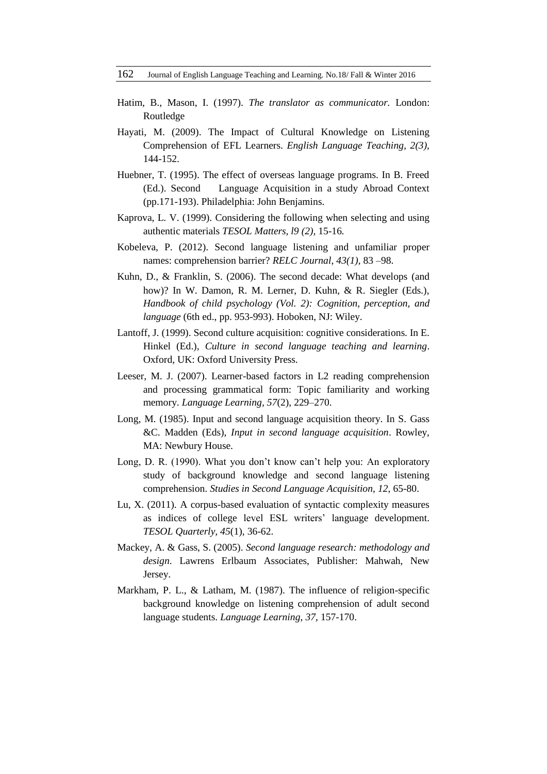- Hatim, B., Mason, I. (1997). *The translator as communicator.* London: Routledge
- Hayati, M. (2009). The Impact of Cultural Knowledge on Listening Comprehension of EFL Learners. *English Language Teaching, 2(3),* 144-152.
- Huebner, T. (1995). The effect of overseas language programs. In B. Freed (Ed.). Second Language Acquisition in a study Abroad Context (pp.171-193). Philadelphia: John Benjamins.
- Kaprova, L. V. (1999). Considering the following when selecting and using authentic materials *TESOL Matters, l9 (2),* 15-16*.*
- Kobeleva, P. (2012). Second language listening and unfamiliar proper names: comprehension barrier? *RELC Journal*, *43(1)*, 83 –98.
- Kuhn, D., & Franklin, S. (2006). The second decade: What develops (and how)? In W. Damon, R. M. Lerner, D. Kuhn, & R. Siegler (Eds.), *Handbook of child psychology (Vol. 2): Cognition, perception, and language* (6th ed., pp. 953-993). Hoboken, NJ: Wiley.
- Lantoff, J. (1999). Second culture acquisition: cognitive considerations. In E. Hinkel (Ed.), *Culture in second language teaching and learning*. Oxford, UK: Oxford University Press.
- Leeser, M. J. (2007). Learner-based factors in L2 reading comprehension and processing grammatical form: Topic familiarity and working memory. *Language Learning, 57*(2), 229–270.
- Long, M. (1985). Input and second language acquisition theory. In S. Gass &C. Madden (Eds), *Input in second language acquisition*. Rowley, MA: Newbury House.
- Long, D. R. (1990). What you don't know can't help you: An exploratory study of background knowledge and second language listening comprehension. *Studies in Second Language Acquisition*, *12*, 65-80.
- Lu, X. (2011). A corpus-based evaluation of syntactic complexity measures as indices of college level ESL writers' language development. *TESOL Quarterly, 45*(1), 36-62.
- Mackey, A. & Gass, S. (2005). *Second language research: methodology and design*. Lawrens Erlbaum Associates, Publisher: Mahwah, New Jersey.
- Markham, P. L., & Latham, M. (1987). The influence of religion-specific background knowledge on listening comprehension of adult second language students. *Language Learning*, *37*, 157-170.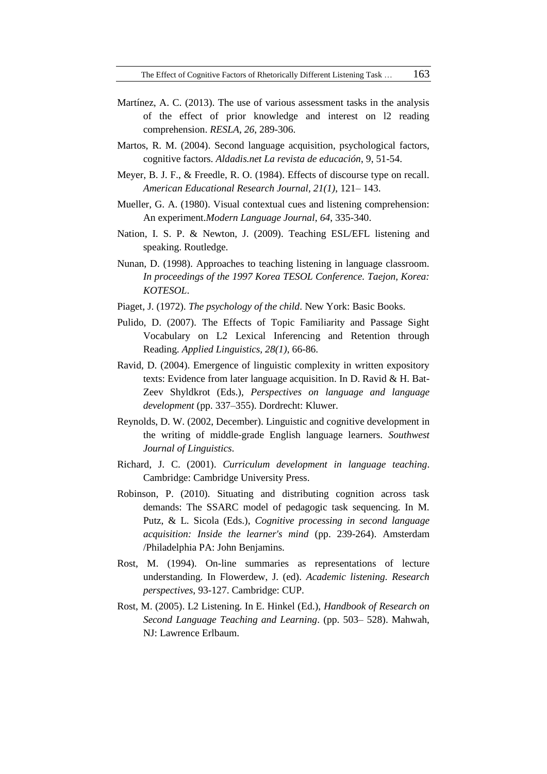- Martínez, A. C. (2013). The use of various assessment tasks in the analysis of the effect of prior knowledge and interest on l2 reading comprehension. *RESLA, 26*, 289-306.
- Martos, R. M. (2004). Second language acquisition, psychological factors, cognitive factors. *Aldadis.net La revista de educación*, 9, 51-54.
- Meyer, B. J. F., & Freedle, R. O. (1984). Effects of discourse type on recall. *American Educational Research Journal, 21(1)*, 121– 143.
- Mueller, G. A. (1980). Visual contextual cues and listening comprehension: An experiment.*Modern Language Journal*, *64*, 335-340.
- Nation, I. S. P. & Newton, J. (2009). Teaching ESL/EFL listening and speaking. Routledge.
- Nunan, D. (1998). Approaches to teaching listening in language classroom. *In proceedings of the 1997 Korea TESOL Conference. Taejon, Korea: KOTESOL*.
- Piaget, J. (1972). *The psychology of the child*. New York: Basic Books.
- Pulido, D. (2007). The Effects of Topic Familiarity and Passage Sight Vocabulary on L2 Lexical Inferencing and Retention through Reading. *Applied Linguistics, 28(1)*, 66-86.
- Ravid, D. (2004). Emergence of linguistic complexity in written expository texts: Evidence from later language acquisition. In D. Ravid & H. Bat-Zeev Shyldkrot (Eds.), *Perspectives on language and language development* (pp. 337–355). Dordrecht: Kluwer.
- Reynolds, D. W. (2002, December). Linguistic and cognitive development in the writing of middle-grade English language learners*. Southwest Journal of Linguistics*.
- Richard, J. C. (2001). *Curriculum development in language teaching*. Cambridge: Cambridge University Press.
- Robinson, P. (2010). Situating and distributing cognition across task demands: The SSARC model of pedagogic task sequencing. In M. Putz, & L. Sicola (Eds.), *Cognitive processing in second language acquisition: Inside the learner's mind* (pp. 239-264). Amsterdam /Philadelphia PA: John Benjamins.
- Rost, M. (1994). On-line summaries as representations of lecture understanding. In Flowerdew, J. (ed). *Academic listening. Research perspectives*, 93-127. Cambridge: CUP.
- Rost, M. (2005). L2 Listening. In E. Hinkel (Ed.), *Handbook of Research on Second Language Teaching and Learning*. (pp. 503– 528). Mahwah, NJ: Lawrence Erlbaum.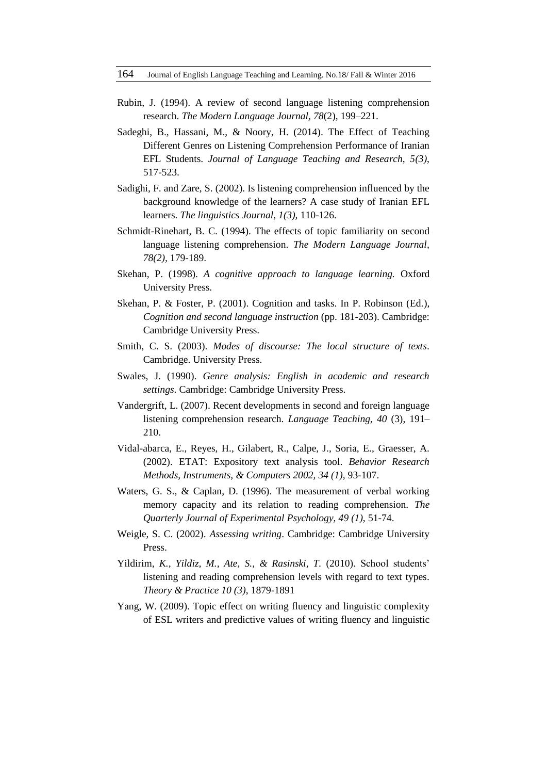- Rubin, J. (1994). A review of second language listening comprehension research. *The Modern Language Journal, 78*(2), 199–221.
- Sadeghi, B., Hassani, M., & Noory, H. (2014). The Effect of Teaching Different Genres on Listening Comprehension Performance of Iranian EFL Students. *Journal of Language Teaching and Research, 5(3)*, 517-523.
- Sadighi, F. and Zare, S. (2002). Is listening comprehension influenced by the background knowledge of the learners? A case study of Iranian EFL learners. *The linguistics Journal, 1(3),* 110-126.
- Schmidt-Rinehart, B. C. (1994). The effects of topic familiarity on second language listening comprehension. *The Modern Language Journal, 78(2),* 179-189.
- Skehan, P. (1998). *A cognitive approach to language learning.* Oxford University Press.
- Skehan, P. & Foster, P. (2001). Cognition and tasks. In P. Robinson (Ed*.*), *Cognition and second language instruction* (pp. 181-203). Cambridge: Cambridge University Press.
- Smith, C. S. (2003). *Modes of discourse: The local structure of texts*. Cambridge. University Press.
- Swales, J. (1990). *Genre analysis: English in academic and research settings*. Cambridge: Cambridge University Press.
- Vandergrift, L. (2007). Recent developments in second and foreign language listening comprehension research. *Language Teaching, 40* (3), 191– 210.
- Vidal-abarca, E., Reyes, H., Gilabert, R., Calpe, J., Soria, E., Graesser, A. (2002). ETAT: Expository text analysis tool. *Behavior Research Methods, Instruments, & Computers 2002, 34 (1),* 93-107.
- Waters, G. S., & Caplan, D. (1996). The measurement of verbal working memory capacity and its relation to reading comprehension. *The Quarterly Journal of Experimental Psychology, 49 (1)*, 51-74.
- Weigle, S. C. (2002). *Assessing writing*. Cambridge: Cambridge University Press.
- Yildirim, *K., Yildiz, M., Ate, S., & Rasinski, T.* (2010). School students' listening and reading comprehension levels with regard to text types. *Theory & Practice 10 (3)*, 1879-1891
- Yang, W. (2009). Topic effect on writing fluency and linguistic complexity of ESL writers and predictive values of writing fluency and linguistic